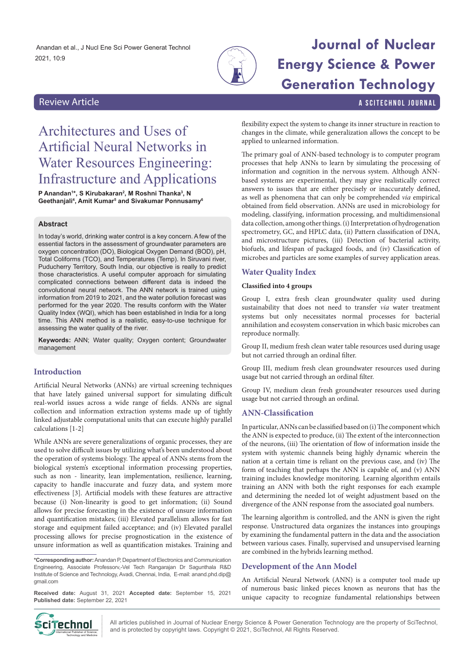Anandan et al., J Nucl Ene Sci Power Generat Technol 2021, 10:9



# **Journal of Nuclear Energy Science & Power Generation Technology**

Review Article a Scitter and Science and Science and Science and Science and Scitter and Scitter and Scitter and Scitter and Science and Science and Science and Science and Science and Science and Science and Science and S

## Architectures and Uses of Artificial Neural Networks in Water Resources Engineering: Infrastructure and Applications

**P Anandan<sup>1</sup>\*, S Kirubakaran<sup>2</sup>, M Roshni Thanka<sup>3</sup>, N Geethanjali4 , Amit Kumar5 and Sivakumar Ponnusamy6**

#### **Abstract**

In today's world, drinking water control is a key concern. A few of the essential factors in the assessment of groundwater parameters are oxygen concentration (DO), Biological Oxygen Demand (BOD), pH, Total Coliforms (TCO), and Temperatures (Temp). In Siruvani river, Puducherry Territory, South India, our objective is really to predict those characteristics. A useful computer approach for simulating complicated connections between different data is indeed the convolutional neural network. The ANN network is trained using information from 2019 to 2021, and the water pollution forecast was performed for the year 2020. The results conform with the Water Quality Index (WQI), which has been established in India for a long time. This ANN method is a realistic, easy-to-use technique for assessing the water quality of the river.

**Keywords:** ANN; Water quality; Oxygen content; Groundwater management

#### **Introduction**

Artificial Neural Networks (ANNs) are virtual screening techniques that have lately gained universal support for simulating difficult real-world issues across a wide range of fields. ANNs are signal collection and information extraction systems made up of tightly linked adjustable computational units that can execute highly parallel calculations [1-2]

While ANNs are severe generalizations of organic processes, they are used to solve difficult issues by utilizing what's been understood about the operation of systems biology. The appeal of ANNs stems from the biological system's exceptional information processing properties, such as non - linearity, lean implementation, resilience, learning, capacity to handle inaccurate and fuzzy data, and system more effectiveness [3]. Artificial models with these features are attractive because (i) Non-linearity is good to get information; (ii) Sound allows for precise forecasting in the existence of unsure information and quantification mistakes; (iii) Elevated parallelism allows for fast storage and equipment failed acceptance; and (iv) Elevated parallel processing allows for precise prognostication in the existence of unsure information as well as quantification mistakes. Training and

**\*Corresponding author:** Anandan P, Department of Electronics and Communication Engineering, Associate Professorv,-Vel Tech Rangarajan Dr Sagunthala R&D Institute of Science and Technology, Avadi, Chennai, India, E-mail: anand.phd.dip@ gmail.com

**Received date:** August 31, 2021 **Accepted date:** September 15, 2021 **Published date:** September 22, 2021

flexibility expect the system to change its inner structure in reaction to changes in the climate, while generalization allows the concept to be applied to unlearned information.

The primary goal of ANN-based technology is to computer program processes that help ANNs to learn by simulating the processing of information and cognition in the nervous system. Although ANNbased systems are experimental, they may give realistically correct answers to issues that are either precisely or inaccurately defined, as well as phenomena that can only be comprehended *via* empirical obtained from field observation. ANNs are used in microbiology for modeling, classifying, information processing, and multidimensional data collection, among other things. (i) Interpretation of hydrogenation spectrometry, GC, and HPLC data, (ii) Pattern classification of DNA, and microstructure pictures, (iii) Detection of bacterial activity, biofuels, and lifespan of packaged foods, and (iv) Classification of microbes and particles are some examples of survey application areas.

#### **Water Quality Index**

#### **Classified into 4 groups**

Group I, extra fresh clean groundwater quality used during sustainability that does not need to transfer *via* water treatment systems but only necessitates normal processes for bacterial annihilation and ecosystem conservation in which basic microbes can reproduce normally.

Group II, medium fresh clean water table resources used during usage but not carried through an ordinal filter.

Group III, medium fresh clean groundwater resources used during usage but not carried through an ordinal filter.

Group IV, medium clean fresh groundwater resources used during usage but not carried through an ordinal.

#### **ANN-Classification**

In particular, ANNs can be classified based on (i) The component which the ANN is expected to produce, (ii) The extent of the interconnection of the neurons, (iii) The orientation of flow of information inside the system with systemic channels being highly dynamic wherein the nation at a certain time is reliant on the previous case, and (iv) The form of teaching that perhaps the ANN is capable of, and (v) ANN training includes knowledge monitoring. Learning algorithm entails training an ANN with both the right responses for each example and determining the needed lot of weight adjustment based on the divergence of the ANN response from the associated goal numbers.

The learning algorithm is controlled, and the ANN is given the right response. Unstructured data organizes the instances into groupings by examining the fundamental pattern in the data and the association between various cases. Finally, supervised and unsupervised learning are combined in the hybrids learning method.

#### **Development of the Ann Model**

An Artificial Neural Network (ANN) is a computer tool made up of numerous basic linked pieces known as neurons that has the unique capacity to recognize fundamental relationships between



All articles published in Journal of Nuclear Energy Science & Power Generation Technology are the property of SciTechnol, **CITECHING ARE AND AND AND AND IS PROT** is protected by copyright laws. Copyright © 2021, SciTechnol, All Rights Reserved.<br>International Publisher of Signoce, and is protected by copyright laws. Copyright © 2021, SciTechno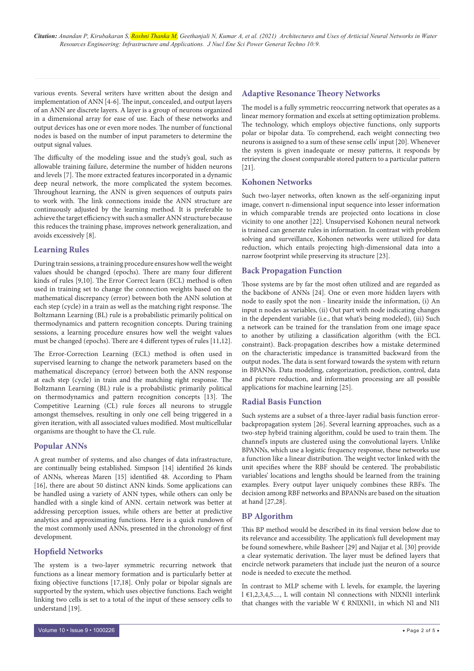various events. Several writers have written about the design and implementation of ANN [4-6]. The input, concealed, and output layers of an ANN are discrete layers. A layer is a group of neurons organized in a dimensional array for ease of use. Each of these networks and output devices has one or even more nodes. The number of functional nodes is based on the number of input parameters to determine the output signal values.

The difficulty of the modeling issue and the study's goal, such as allowable training failure, determine the number of hidden neurons and levels [7]. The more extracted features incorporated in a dynamic deep neural network, the more complicated the system becomes. Throughout learning, the ANN is given sequences of outputs pairs to work with. The link connections inside the ANN structure are continuously adjusted by the learning method. It is preferable to achieve the target efficiency with such a smaller ANN structure because this reduces the training phase, improves network generalization, and avoids excessively [8].

#### **Learning Rules**

During train sessions, a training procedure ensures how well the weight values should be changed (epochs). There are many four different kinds of rules [9,10]. The Error Correct learn (ECL) method is often used in training set to change the connection weights based on the mathematical discrepancy (error) between both the ANN solution at each step (cycle) in a train as well as the matching right response. The Boltzmann Learning (BL) rule is a probabilistic primarily political on thermodynamics and pattern recognition concepts. During training sessions, a learning procedure ensures how well the weight values must be changed (epochs). There are 4 different types of rules [11,12].

The Error-Correction Learning (ECL) method is often used in supervised learning to change the network parameters based on the mathematical discrepancy (error) between both the ANN response at each step (cycle) in train and the matching right response. The Boltzmann Learning (BL) rule is a probabilistic primarily political on thermodynamics and pattern recognition concepts [13]. The Competitive Learning (CL) rule forces all neurons to struggle amongst themselves, resulting in only one cell being triggered in a given iteration, with all associated values modified. Most multicellular organisms are thought to have the CL rule.

#### **Popular ANNs**

A great number of systems, and also changes of data infrastructure, are continually being established. Simpson [14] identified 26 kinds of ANNs, whereas Maren [15] identified 48. According to Pham [16], there are about 50 distinct ANN kinds. Some applications can be handled using a variety of ANN types, while others can only be handled with a single kind of ANN. certain network was better at addressing perception issues, while others are better at predictive analytics and approximating functions. Here is a quick rundown of the most commonly used ANNs, presented in the chronology of first development.

### **Hopfield Networks**

The system is a two-layer symmetric recurring network that functions as a linear memory formation and is particularly better at fixing objective functions [17,18]. Only polar or bipolar signals are supported by the system, which uses objective functions. Each weight linking two cells is set to a total of the input of these sensory cells to understand [19].

#### **Adaptive Resonance Theory Networks**

The model is a fully symmetric reoccurring network that operates as a linear memory formation and excels at setting optimization problems. The technology, which employs objective functions, only supports polar or bipolar data. To comprehend, each weight connecting two neurons is assigned to a sum of these sense cells' input [20]. Whenever the system is given inadequate or messy patterns, it responds by retrieving the closest comparable stored pattern to a particular pattern [21].

#### **Kohonen Networks**

Such two-layer networks, often known as the self-organizing input image, convert n-dimensional input sequence into lesser information in which comparable trends are projected onto locations in close vicinity to one another [22]. Unsupervised Kohonen neural network is trained can generate rules in information. In contrast with problem solving and surveillance, Kohonen networks were utilized for data reduction, which entails projecting high-dimensional data into a narrow footprint while preserving its structure [23].

#### **Back Propagation Function**

Those systems are by far the most often utilized and are regarded as the backbone of ANNs [24]. One or even more hidden layers with node to easily spot the non - linearity inside the information, (i) An input n nodes as variables, (ii) Out part with node indicating changes in the dependent variable (i.e., that what's being modeled), (iii) Such a network can be trained for the translation from one image space to another by utilizing a classification algorithm (with the ECL constraint). Back-propagation describes how a mistake determined on the characteristic impedance is transmitted backward from the output nodes. The data is sent forward towards the system with return in BPANNs. Data modeling, categorization, prediction, control, data and picture reduction, and information processing are all possible applications for machine learning [25].

#### **Radial Basis Function**

Such systems are a subset of a three-layer radial basis function errorbackpropagation system [26]. Several learning approaches, such as a two-step hybrid training algorithm, could be used to train them. The channel's inputs are clustered using the convolutional layers. Unlike BPANNs, which use a logistic frequency response, these networks use a function like a linear distribution. The weight vector linked with the unit specifies where the RBF should be centered. The probabilistic variables' locations and lengths should be learned from the training examples. Every output layer uniquely combines these RBFs. The decision among RBF networks and BPANNs are based on the situation at hand [27,28].

#### **BP Algorithm**

This BP method would be described in its final version below due to its relevance and accessibility. The application's full development may be found somewhere, while Basheer [29] and Najjar et al. [30] provide a clear systematic derivation. The layer must be defined layers that encircle network parameters that include just the neuron of a source node is needed to execute the method.

In contrast to MLP scheme with L levels, for example, the layering l €1,2,3,4,5...., L will contain Nl connections with NlXNl1 interlink that changes with the variable  $W \in RNIXNI1$ , in which Nl and Nl1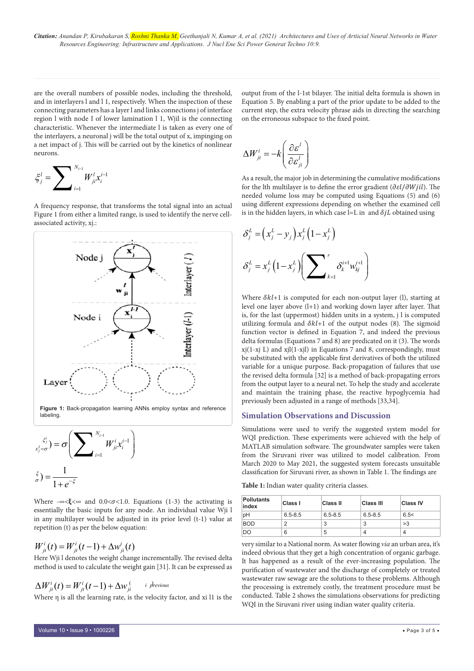are the overall numbers of possible nodes, including the threshold, and in interlayers l and l 1, respectively. When the inspection of these connecting parameters has a layer l and links connections j of interface region l with node I of lower lamination l 1, Wjil is the connecting characteristic. Whenever the intermediate l is taken as every one of the interlayers, a neuronal j will be the total output of x, impinging on a net impact of j. This will be carried out by the kinetics of nonlinear neurons.

$$
\xi^l_j=\sum\nolimits_{i=1}^{N_{i-1}}W^l_{ji}x^{i-1}_i
$$

A frequency response, that transforms the total signal into an actual Figure 1 from either a limited range, is used to identify the nerve cellassociated activity, xj.:



$$
x_j^{\xi_j^i} = \sigma \left( \sum_{i=1}^{N_{i-1}} W_{ji}^i x_i^{i-1} \right)
$$

$$
x_j^{\xi} = \frac{1}{1 + e^{-\xi}}
$$

Where  $-\infty < \xi < \infty$  and 0.0< $\sigma < 1.0$ . Equations (1-3) the activating is essentially the basic inputs for any node. An individual value Wji l in any multilayer would be adjusted in its prior level (t-1) value at repetition (t) as per the below equation:

## $W_{it}^{i}(t) = W_{it}^{i}(t-1) + \Delta w_{it}^{i}(t)$

Here Wji l denotes the weight change incrementally. The revised delta method is used to calculate the weight gain [31]. It can be expressed as

$$
\Delta W_{jt}^i(t) = W_{jt}^i(t-1) + \Delta W_{jt}^{\left(i \atop t\right)}
$$

Where η is all the learning rate, is the velocity factor, and xi l1 is the

output from of the l-1st bilayer. The initial delta formula is shown in Equation 5. By enabling a part of the prior update to be added to the current step, the extra velocity phrase aids in directing the searching on the erroneous subspace to the fixed point.

$$
\Delta W_{jt}^i = -k \left( \frac{\partial \varepsilon^l}{\partial \varepsilon_{ji}^l} \right)
$$

As a result, the major job in determining the cumulative modifications for the lth multilayer is to define the error gradient  $(\partial \varepsilon l/\partial Wjil)$ . The needed volume loss may be computed using Equations (5) and (6) using different expressions depending on whether the examined cell is in the hidden layers, in which case l=L in and  $\delta jL$  obtained using

$$
\delta_j^L = (x_j^L - y_j) x_j^L (1 - x_j^L)
$$

$$
\delta_j^L = x_j^L (1 - x_j^L) \left( \sum\n\limits_{k=1}^r \delta_k^{i+1} w_{kj}^{i+1} \right)
$$

Where  $\delta kl+1$  is computed for each non-output layer (l), starting at level one layer above (l+1) and working down layer after layer. That is, for the last (uppermost) hidden units in a system, j l is computed utilizing formula and  $\delta k l+1$  of the output nodes (8). The sigmoid function vector is defined in Equation 7, and indeed the previous delta formulas (Equations 7 and 8) are predicated on it (3). The words  $xj(1-xj L)$  and  $xjI(1-xj I)$  in Equations 7 and 8, correspondingly, must be substituted with the applicable first derivatives of both the utilized variable for a unique purpose. Back-propagation of failures that use the revised delta formula [32] is a method of back-propagating errors from the output layer to a neural net. To help the study and accelerate and maintain the training phase, the reactive hypoglycemia had previously been adjusted in a range of methods [33,34].

#### **Simulation Observations and Discussion**

Simulations were used to verify the suggested system model for WQI prediction. These experiments were achieved with the help of MATLAB simulation software. The groundwater samples were taken from the Siruvani river was utilized to model calibration. From March 2020 to May 2021, the suggested system forecasts unsuitable classification for Siruvani river, as shown in Table 1. The findings are

**Table 1:** Indian water quality criteria classes.

| <b>Pollutants</b><br>index | Class I     | Class II    | Class III   | <b>Class IV</b> |
|----------------------------|-------------|-------------|-------------|-----------------|
| pH                         | $6.5 - 8.5$ | $6.5 - 8.5$ | $6.5 - 8.5$ | 6.5<            |
| <b>BOD</b>                 | 2           | 3           | 3           | >3              |
| DO                         | 6           | 5           | 4           |                 |

very similar to a National norm. As water flowing *via* an urban area, it's indeed obvious that they get a high concentration of organic garbage. It has happened as a result of the ever-increasing population. The purification of wastewater and the discharge of completely or treated wastewater raw sewage are the solutions to these problems. Although the processing is extremely costly, the treatment procedure must be conducted. Table 2 shows the simulations observations for predicting WQI in the Siruvani river using indian water quality criteria.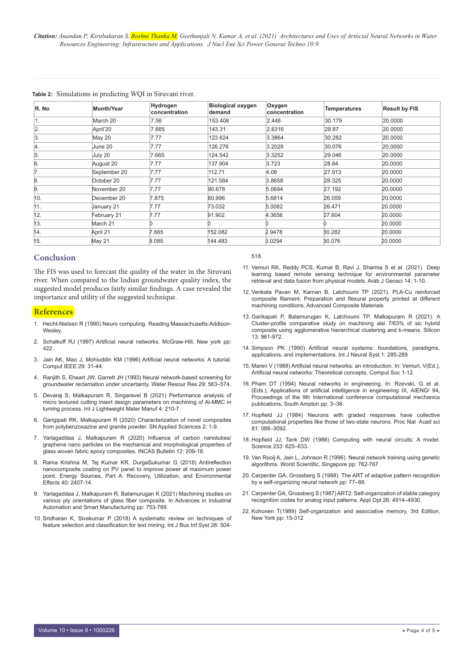| R. No            | Month/Year   | Hydrogen<br>concentration | <b>Biological oxygen</b><br>demand | Oxygen<br>concentration | <b>Temperatures</b> | <b>Result by FIS</b> |
|------------------|--------------|---------------------------|------------------------------------|-------------------------|---------------------|----------------------|
| 1.               | March 20     | 7.56                      | 153.408                            | 2.448                   | 30.179              | 20.0000              |
| 2.               | April'20     | 7.665                     | 143.31                             | 2.6316                  | 29.87               | 20,0000              |
| 3.               | May 20       | 7.77                      | 123.624                            | 3.3864                  | 30.282              | 20,0000              |
| $\overline{4}$ . | June 20      | 7.77                      | 126.276                            | 3.2028                  | 30.076              | 20.0000              |
| 5.               | July 20      | 7.665                     | 124.542                            | 3.3252                  | 29.046              | 20.0000              |
| 6.               | August 20    | 7.77                      | 137.904                            | 3.723                   | 28.84               | 20,0000              |
| 7.               | September 20 | 7.77                      | 112.71                             | 4.08                    | 27.913              | 20.0000              |
| 8.               | October 20   | 7.77                      | 121.584                            | 3.8658                  | 28.325              | 20,0000              |
| 9.               | November 20  | 7.77                      | 90.678                             | 5.0694                  | 27.192              | 20.0000              |
| 10.              | December 20  | 7.875                     | 60.996                             | 5.6814                  | 26.059              | 20,0000              |
| 11.              | January 21   | 7.77                      | 73.032                             | 5.0082                  | 26.471              | 20.0000              |
| 12.              | February 21  | 7.77                      | 91.902                             | 4.3656                  | 27.604              | 20.0000              |
| 13.              | March 21     |                           |                                    |                         |                     | 20.0000              |
| 14.              | April 21     | 7.665                     | 152.082                            | 2.9478                  | 30.282              | 20.0000              |
| 15.              | May 21       | 8.085                     | 144.483                            | 3.0294                  | 30.076              | 20,0000              |

#### **Table 2:** Simulations in predicting WQI in Siruvani river.

#### **Conclusion**

The FIS was used to forecast the quality of the water in the Siruvani river. When compared to the Indian groundwater quality index, the suggested model produces fairly similar findings. A case revealed the importance and utility of the suggested technique.

#### **References**

- 1. Hecht-Nielsen R (1990) Neuro computing. Reading Massachusetts:Addison-Wesley
- 2. Schalkoff RJ (1997) Artificial neural networks. McGraw-Hill, New york pp: 422.
- 3. Jain AK, Mao J, Mohiuddin KM (1996) Artificial neural networks: A tutorial. Comput IEEE 29: 31-44.
- 4. Ranjith S, Eheart JW, Garrett JH (1993) Neural network-based screening for groundwater reclamation under uncertainty. Water Resour Res 29: 563–574.
- 5. Devaraj S, Malkapuram R, Singaravel B (2021) Performance analysis of micro textured cutting insert design parameters on machining of Al-MMC in turning process. Int J Lightweight Mater Manuf 4: 210-7
- 6. Garigipati RK, Malkapuram R (2020) Characterization of novel composites from polybenzoxazine and granite powder. SN Applied Sciences 2: 1-9.
- 7. Yarlagaddaa J, Malkapuram R (2020) Influence of carbon nanotubes/ graphene nano particles on the mechanical and morphological properties of glass woven fabric epoxy composites. INCAS Bulletin 12: 209-18.
- 8. Rama Krishna M, Tej Kumar KR, DurgaSukumar G (2018) Antireflection nanocomposite coating on PV panel to improve power at maximum power point. Energy Sources, Part A: Recovery, Utilization, and Environmental Effects 40: 2407-14.
- 9. Yarlagaddaa J, Malkapuram R, Balamurugan K (2021) Machining studies on various ply orientations of glass fiber composite. In Advances in Industrial Automation and Smart Manufacturing pp: 753-769.
- 10. Sridharan K, Sivakumar P (2018) A systematic review on techniques of feature selection and classification for text mining. Int J Bus Inf Syst 28: 504-

518.

- 11. Vemuri RK, Reddy PCS, Kumar B, Ravi J, Sharma S et al. (2021) Deep learning based remote sensing technique for environmental parameter retrieval and data fusion from physical models. Arab J Geosci 14: 1-10.
- 12. Venkata Pavan M, Karnan B, Latchoumi TP (2021). PLA-Cu reinforced composite filament: Preparation and flexural property printed at different machining conditions. Advanced Composite Materials
- 13. Garikapati P, Balamurugan K, Latchoumi TP, Malkapuram R (2021). A Cluster-profile comparative study on machining alsi 7/63% of sic hybrid composite using agglomerative hierarchical clustering and k-means. Silicon 13: 961-972.
- 14. Simpson PK (1990) Artificial neural systems: foundations, paradigms, applications, and implementations. Int J Neural Syst 1: 285-289
- 15. Maren V (1988) Artificial neural networks: an introduction. In: Vemuri, V(Ed.), Artificial neural networks: Theoretical concepts. Comput Soc 1-12.
- 16. Pham DT (1994) Neural networks in engineering. In: Rzevski, G et al. (Eds.), Applications of artificial intelligence in engineering IX, AIENG/ 94, Proceedings of the 9th International conference computational mechanics publications, South Ampton pp: 3–36.
- 17. Hopfield JJ (1984) Neurons with graded responses have collective computational properties like those of two-state neurons. Proc Nat Acad sci 81: 088–3092.
- 18. Hopfield JJ, Tank DW (1986) Computing with neural circuits: A model. Science 233: 625–633.
- 19. Van Rooij A, Jain L, Johnson R (1996). Neural network training using genetic algorithms. World Scientific, Singapore pp: 762-767
- 20. Carpenter GA, Grossberg S (1988) The ART of adaptive pattern recognition by a self-organizing neural network pp: 77–88.
- 21. Carpenter GA, Grossberg S (1987) ART2: Self-organization of stable category recognition codes for analog input patterns. Appl Opt 26: 4914–4930.
- 22. Kohonen T(1989) Self-organization and associative memory, 3rd Edition, New York pp: 15-312